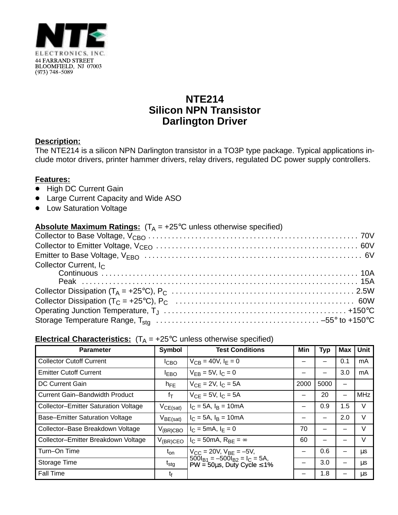

## **NTE214 Silicon NPN Transistor Darlington Driver**

## **Description:**

The NTE214 is a silicon NPN Darlington transistor in a TO3P type package. Typical applications include motor drivers, printer hammer drivers, relay drivers, regulated DC power supply controllers.

## **Features:**

- High DC Current Gain
- Large Current Capacity and Wide ASO
- Low Saturation Voltage

| <b>Absolute Maximum Ratings:</b> $(T_A = +25^{\circ}C$ unless otherwise specified) |  |
|------------------------------------------------------------------------------------|--|
|                                                                                    |  |
|                                                                                    |  |
|                                                                                    |  |
| Collector Current, $I_C$                                                           |  |
|                                                                                    |  |
|                                                                                    |  |
|                                                                                    |  |
|                                                                                    |  |
|                                                                                    |  |
|                                                                                    |  |

## **Electrical Characteristics:**  $(T_A = +25^\circ C$  unless otherwise specified)

| <b>Parameter</b>                            | <b>Symbol</b>    | <b>Test Conditions</b>                                                          | Min                      | <b>Typ</b> | Max                      | Unit       |
|---------------------------------------------|------------------|---------------------------------------------------------------------------------|--------------------------|------------|--------------------------|------------|
| <b>Collector Cutoff Current</b>             | <sup>I</sup> CBO | $V_{CB} = 40V, I_F = 0$                                                         |                          |            | 0.1                      | mA         |
| <b>Emitter Cutoff Current</b>               | <b>IEBO</b>      | $V_{FB} = 5V, I_C = 0$                                                          |                          |            | 3.0                      | mA         |
| <b>DC Current Gain</b>                      | $h_{FE}$         | $V_{CF} = 2V$ , $I_C = 5A$                                                      | 2000                     | 5000       | -                        |            |
| <b>Current Gain-Bandwidth Product</b>       | $f_T$            | $V_{CF} = 5V$ , $I_C = 5A$                                                      |                          | 20         | $\overline{\phantom{0}}$ | <b>MHz</b> |
| <b>Collector-Emitter Saturation Voltage</b> | $V_{CE(sat)}$    | $I_C = 5A$ , $I_B = 10mA$                                                       | —                        | 0.9        | 1.5                      | V          |
| <b>Base-Emitter Saturation Voltage</b>      | $V_{BE(sat)}$    | $I_C = 5A$ , $I_B = 10mA$                                                       |                          |            | 2.0                      | $\vee$     |
| Collector-Base Breakdown Voltage            | $V_{(BR)CBO}$    | $I_C = 5mA$ , $I_F = 0$                                                         | 70                       |            |                          | $\vee$     |
| Collector-Emitter Breakdown Voltage         | $V_{(BR)CEO}$    | $I_C = 50 \text{mA}, R_{BF} = \infty$                                           | 60                       |            |                          | V          |
| Turn-On Time                                | $t_{on}$         | $V_{CC} = 20V$ , $V_{BE} = -5V$ ,                                               | -                        | 0.6        |                          | μs         |
| Storage Time                                | t <sub>stg</sub> | $500I_{B1} = -500I_{B2} = I_C = 5A$ ,<br>$PW = 50\mu s$ , Duty Cycle $\leq 1\%$ | $\overline{\phantom{0}}$ | 3.0        | -                        | μs         |
| <b>Fall Time</b>                            | t <sub>f</sub>   |                                                                                 |                          | 1.8        |                          | μs         |